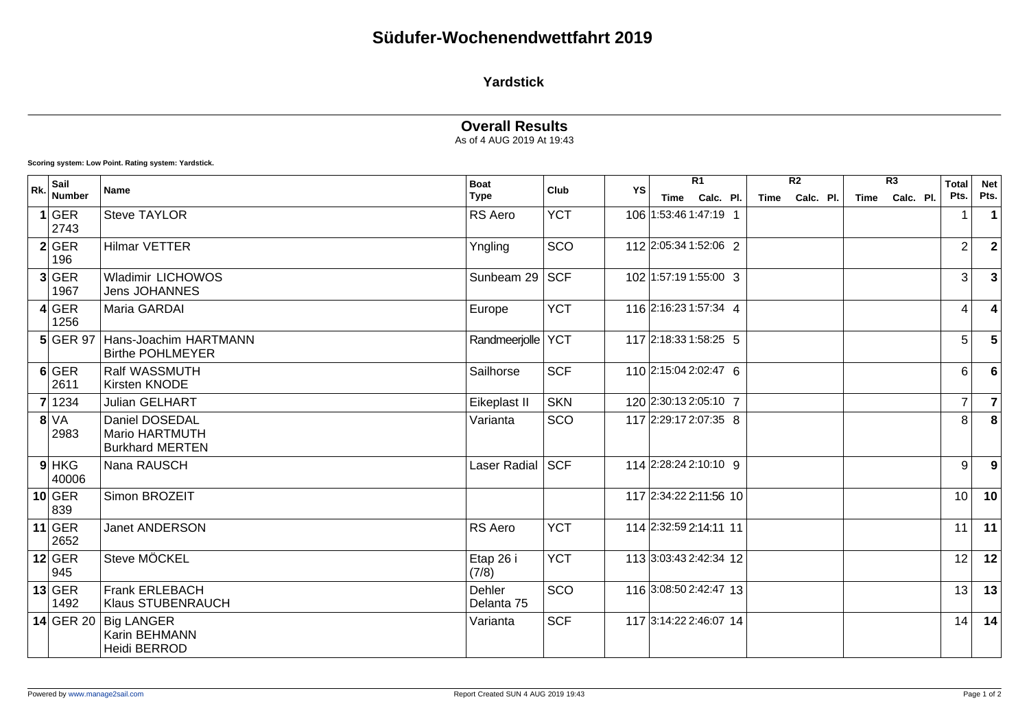### **Yardstick**

#### **Overall Results** As of 4 AUG 2019 At 19:43

**Scoring system: Low Point. Rating system: Yardstick.**

| Rk. | Sail<br><b>Number</b> | <b>Name</b>                                                | <b>Boat</b><br><b>Type</b> | Club       | $\overline{R1}$        |  |           | $\overline{R2}$ |           |  | $\overline{R3}$ |           | <b>Total</b>   | <b>Net</b>     |
|-----|-----------------------|------------------------------------------------------------|----------------------------|------------|------------------------|--|-----------|-----------------|-----------|--|-----------------|-----------|----------------|----------------|
|     |                       |                                                            |                            | YS         | Time                   |  | Calc. Pl. | <b>Time</b>     | Calc. Pl. |  | Time            | Calc. Pl. | Pts.           | Pts.           |
|     | $1$ GER<br>2743       | <b>Steve TAYLOR</b>                                        | RS Aero                    | <b>YCT</b> | 106 1:53:46 1:47:19 1  |  |           |                 |           |  |                 |           |                |                |
|     | 2 GER<br>196          | <b>Hilmar VETTER</b>                                       | Yngling                    | SCO        | 112 2:05:34 1:52:06 2  |  |           |                 |           |  |                 |           | $\overline{2}$ | $\overline{2}$ |
|     | 3 GER<br>1967         | Wladimir LICHOWOS<br><b>Jens JOHANNES</b>                  | Sunbeam 29   SCF           |            | 102 1:57:19 1:55:00 3  |  |           |                 |           |  |                 |           | 3              | 3              |
|     | 4 GER<br>1256         | Maria GARDAI                                               | Europe                     | <b>YCT</b> | 116 2:16:23 1:57:34 4  |  |           |                 |           |  |                 |           | 4              | 4              |
|     | $5$ GER 97            | Hans-Joachim HARTMANN<br><b>Birthe POHLMEYER</b>           | Randmeerjolle              | <b>YCT</b> | 117 2:18:33 1:58:25 5  |  |           |                 |           |  |                 |           | 5              | 5              |
|     | $6$ GER<br>2611       | Ralf WASSMUTH<br>Kirsten KNODE                             | Sailhorse                  | <b>SCF</b> | 110 2:15:04 2:02:47 6  |  |           |                 |           |  |                 |           | 6              | 6              |
|     | 7 1234                | <b>Julian GELHART</b>                                      | Eikeplast II               | <b>SKN</b> | 120 2:30:13 2:05:10 7  |  |           |                 |           |  |                 |           | $\overline{7}$ | $\overline{7}$ |
|     | 8 VA<br>2983          | Daniel DOSEDAL<br>Mario HARTMUTH<br><b>Burkhard MERTEN</b> | Varianta                   | SCO        | 117 2:29:17 2:07:35 8  |  |           |                 |           |  |                 |           | 8              | 8              |
|     | $9$ HKG<br>40006      | Nana RAUSCH                                                | Laser Radial               | <b>SCF</b> | 114 2:28:24 2:10:10 9  |  |           |                 |           |  |                 |           | 9              | 9              |
|     | $10$ GER<br>839       | Simon BROZEIT                                              |                            |            | 117 2:34:22 2:11:56 10 |  |           |                 |           |  |                 |           | 10             | 10             |
|     | $11$ GER<br>2652      | <b>Janet ANDERSON</b>                                      | RS Aero                    | <b>YCT</b> | 114 2:32:59 2:14:11 11 |  |           |                 |           |  |                 |           | 11             | 11             |
|     | $12$ GER<br>945       | Steve MÖCKEL                                               | Etap 26 i<br>(7/8)         | <b>YCT</b> | 113 3:03:43 2:42:34 12 |  |           |                 |           |  |                 |           | 12             | 12             |
|     | $13$ GER<br>1492      | <b>Frank ERLEBACH</b><br><b>Klaus STUBENRAUCH</b>          | Dehler<br>Delanta 75       | SCO        | 116 3:08:50 2:42:47 13 |  |           |                 |           |  |                 |           | 13             | 13             |
|     |                       | 14 GER 20 Big LANGER<br>Karin BEHMANN<br>Heidi BERROD      | Varianta                   | <b>SCF</b> | 117 3:14:22 2:46:07 14 |  |           |                 |           |  |                 |           | 14             | 14             |